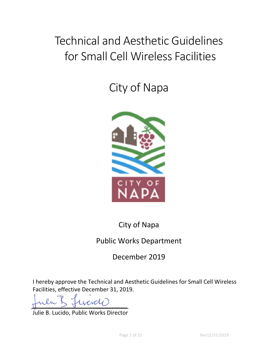# Technical and Aesthetic Guidelines for Small Cell Wireless Facilities

City of Napa



City of Napa

# Public Works Department

December 2019

I hereby approve the Technical and Aesthetic Guidelines for Small Cell Wireless Facilities, effective December 31, 2019.

*\_\_\_\_\_\_\_\_\_\_\_\_\_\_\_\_\_\_\_\_\_\_\_\_\_\_\_\_\_\_* 

Julie B. Lucido, Public Works Director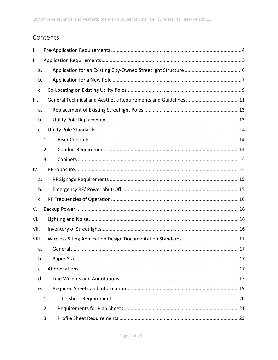# Contents

| Ι.    |    |  |
|-------|----|--|
| Ⅱ.    |    |  |
| a.    |    |  |
| b.    |    |  |
| c.    |    |  |
| III.  |    |  |
| a.    |    |  |
| b.    |    |  |
| c.    |    |  |
|       | 1. |  |
|       | 2. |  |
|       | 3. |  |
| IV.   |    |  |
| a.    |    |  |
| b.    |    |  |
| c.    |    |  |
| V.    |    |  |
| VI.   |    |  |
| VII.  |    |  |
| VIII. |    |  |
| a.    |    |  |
| b.    |    |  |
| c.    |    |  |
| d.    |    |  |
| e.    |    |  |
|       | 1. |  |
|       | 2. |  |
|       | 3. |  |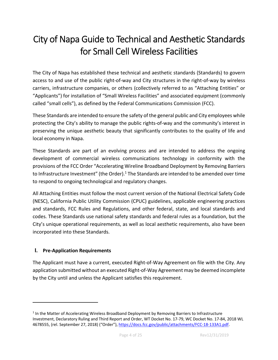# City of Napa Guide to Technical and Aesthetic Standards for Small Cell Wireless Facilities

The City of Napa has established these technical and aesthetic standards (Standards) to govern access to and use of the public right‐of‐way and City structures in the right‐of‐way by wireless carriers, infrastructure companies, or others (collectively referred to as "Attaching Entities" or "Applicants") for installation of "Small Wireless Facilities" and associated equipment (commonly called "small cells"), as defined by the Federal Communications Commission (FCC).

These Standards are intended to ensure the safety of the general public and City employees while protecting the City's ability to manage the public rights-of-way and the community's interest in preserving the unique aesthetic beauty that significantly contributes to the quality of life and local economy in Napa.

These Standards are part of an evolving process and are intended to address the ongoing development of commercial wireless communications technology in conformity with the provisions of the FCC Order "Accelerating Wireline Broadband Deployment by Removing Barriers to Infrastructure Investment" (the Order). $1$  The Standards are intended to be amended over time to respond to ongoing technological and regulatory changes.

All Attaching Entities must follow the most current version of the National Electrical Safety Code (NESC), California Public Utility Commission (CPUC) guidelines, applicable engineering practices and standards, FCC Rules and Regulations, and other federal, state, and local standards and codes. These Standards use national safety standards and federal rules as a foundation, but the City's unique operational requirements, as well as local aesthetic requirements, also have been incorporated into these Standards.

# **I. Pre‐Application Requirements**

The Applicant must have a current, executed Right‐of‐Way Agreement on file with the City. Any application submitted without an executed Right‐of‐Way Agreement may be deemed incomplete by the City until and unless the Applicant satisfies this requirement.

<sup>&</sup>lt;sup>1</sup> In the Matter of Accelerating Wireless Broadband Deployment by Removing Barriers to Infrastructure Investment, Declaratory Ruling and Third Report and Order, WT Docket No. 17‐79, WC Docket No. 17‐84, 2018 WL 4678555, (rel. September 27, 2018) ("Order"), https://docs.fcc.gov/public/attachments/FCC‐18‐133A1.pdf.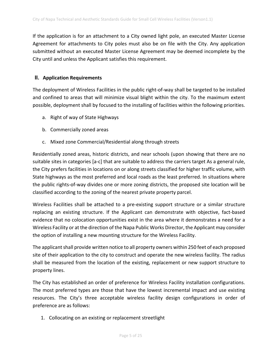If the application is for an attachment to a City owned light pole, an executed Master License Agreement for attachments to City poles must also be on file with the City. Any application submitted without an executed Master License Agreement may be deemed incomplete by the City until and unless the Applicant satisfies this requirement.

# **II. Application Requirements**

The deployment of Wireless Facilities in the public right‐of‐way shall be targeted to be installed and confined to areas that will minimize visual blight within the city. To the maximum extent possible, deployment shall by focused to the installing of facilities within the following priorities.

- a. Right of way of State Highways
- b. Commercially zoned areas
- c. Mixed zone Commercial/Residential along through streets

Residentially zoned areas, historic districts, and near schools (upon showing that there are no suitable sites in categories [a‐c] that are suitable to address the carriers target As a general rule, the City prefers facilities in locations on or along streets classified for higher traffic volume, with State highways as the most preferred and local roads as the least preferred. In situations where the public rights‐of‐way divides one or more zoning districts, the proposed site location will be classified according to the zoning of the nearest private property parcel.

Wireless Facilities shall be attached to a pre-existing support structure or a similar structure replacing an existing structure. If the Applicant can demonstrate with objective, fact-based evidence that no colocation opportunities exist in the area where it demonstrates a need for a Wireless Facility or at the direction of the Napa Public Works Director, the Applicant may consider the option of installing a new mounting structure for the Wireless Facility.

The applicant shall provide written notice to all property owners within 250 feet of each proposed site of their application to the city to construct and operate the new wireless facility. The radius shall be measured from the location of the existing, replacement or new support structure to property lines.

The City has established an order of preference for Wireless Facility installation configurations. The most preferred types are those that have the lowest incremental impact and use existing resources. The City's three acceptable wireless facility design configurations in order of preference are as follows:

1. Collocating on an existing or replacement streetlight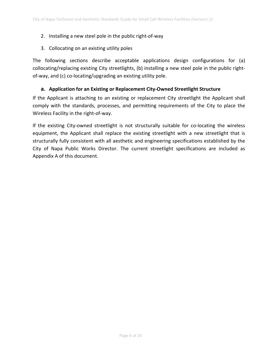# 2. Installing a new steel pole in the public right‐of‐way

3. Collocating on an existing utility poles

The following sections describe acceptable applications design configurations for (a) collocating/replacing existing City streetlights, (b) installing a new steel pole in the public right‐ of‐way, and (c) co‐locating/upgrading an existing utility pole.

# **a. Application for an Existing or Replacement City‐Owned Streetlight Structure**

If the Applicant is attaching to an existing or replacement City streetlight the Applicant shall comply with the standards, processes, and permitting requirements of the City to place the Wireless Facility in the right‐of‐way.

If the existing City-owned streetlight is not structurally suitable for co-locating the wireless equipment, the Applicant shall replace the existing streetlight with a new streetlight that is structurally fully consistent with all aesthetic and engineering specifications established by the City of Napa Public Works Director. The current streetlight specifications are included as Appendix A of this document.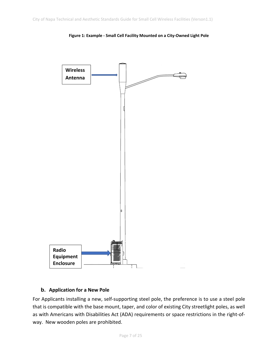

**Figure 1: Example ‐ Small Cell Facility Mounted on a City‐Owned Light Pole** 

# **b. Application for a New Pole**

For Applicants installing a new, self-supporting steel pole, the preference is to use a steel pole that is compatible with the base mount, taper, and color of existing City streetlight poles, as well as with Americans with Disabilities Act (ADA) requirements or space restrictions in the right‐of‐ way. New wooden poles are prohibited.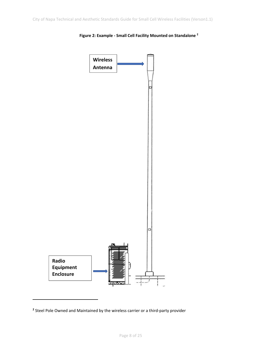

#### **Figure 2: Example ‐ Small Cell Facility Mounted on Standalone 2**

<sup>&</sup>lt;sup>2</sup> Steel Pole Owned and Maintained by the wireless carrier or a third-party provider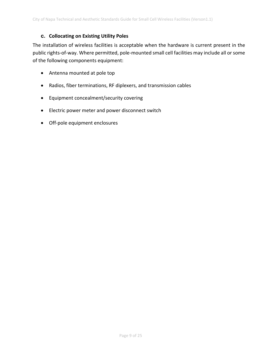# **c. Collocating on Existing Utility Poles**

The installation of wireless facilities is acceptable when the hardware is current present in the public rights‐of‐way. Where permitted, pole‐mounted small cell facilities may include all or some of the following components equipment:

- Antenna mounted at pole top
- Radios, fiber terminations, RF diplexers, and transmission cables
- Equipment concealment/security covering
- **•** Electric power meter and power disconnect switch
- Off‐pole equipment enclosures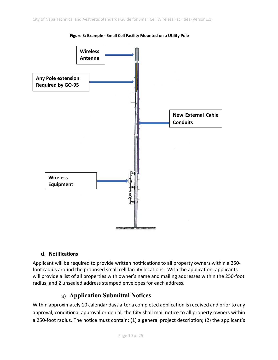

**Figure 3: Example ‐ Small Cell Facility Mounted on a Utility Pole** 

#### **d. Notifications**

Applicant will be required to provide written notifications to all property owners within a 250‐ foot radius around the proposed small cell facility locations. With the application, applicants will provide a list of all properties with owner's name and mailing addresses within the 250‐foot radius, and 2 unsealed address stamped envelopes for each address.

# **a) Application Submittal Notices**

Within approximately 10 calendar days after a completed application is received and prior to any approval, conditional approval or denial, the City shall mail notice to all property owners within a 250-foot radius. The notice must contain: (1) a general project description; (2) the applicant's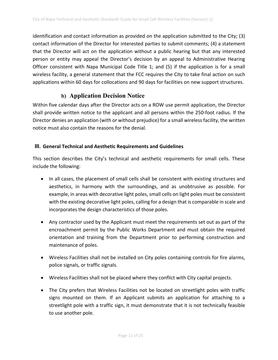identification and contact information as provided on the application submitted to the City; (3) contact information of the Director for interested parties to submit comments; (4) a statement that the Director will act on the application without a public hearing but that any interested person or entity may appeal the Director's decision by an appeal to Administrative Hearing Officer consistent with Napa Municipal Code Title 1; and (5) if the application is for a small wireless facility, a general statement that the FCC requires the City to take final action on such applications within 60 days for collocations and 90 days for facilities on new support structures.

# **b) Application Decision Notice**

Within five calendar days after the Director acts on a ROW use permit application, the Director shall provide written notice to the applicant and all persons within the 250‐foot radius. If the Director denies an application (with or without prejudice) for a small wireless facility, the written notice must also contain the reasons for the denial.

# **III. General Technical and Aesthetic Requirements and Guidelines**

This section describes the City's technical and aesthetic requirements for small cells. These include the following:

- In all cases, the placement of small cells shall be consistent with existing structures and aesthetics, in harmony with the surroundings, and as unobtrusive as possible. For example, in areas with decorative light poles, small cells on light poles must be consistent with the existing decorative light poles, calling for a design that is comparable in scale and incorporates the design characteristics of those poles.
- Any contractor used by the Applicant must meet the requirements set out as part of the encroachment permit by the Public Works Department and must obtain the required orientation and training from the Department prior to performing construction and maintenance of poles.
- Wireless Facilities shall not be installed on City poles containing controls for fire alarms, police signals, or traffic signals.
- Wireless Facilities shall not be placed where they conflict with City capital projects.
- The City prefers that Wireless Facilities not be located on streetlight poles with traffic signs mounted on them. If an Applicant submits an application for attaching to a streetlight pole with a traffic sign, it must demonstrate that it is not technically feasible to use another pole.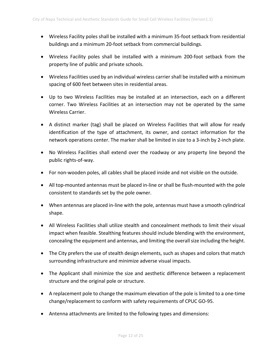- Wireless Facility poles shall be installed with a minimum 35‐foot setback from residential buildings and a minimum 20‐foot setback from commercial buildings.
- Wireless Facility poles shall be installed with a minimum 200‐foot setback from the property line of public and private schools.
- Wireless Facilities used by an individual wireless carrier shall be installed with a minimum spacing of 600 feet between sites in residential areas.
- Up to two Wireless Facilities may be installed at an intersection, each on a different corner. Two Wireless Facilities at an intersection may not be operated by the same Wireless Carrier.
- A distinct marker (tag) shall be placed on Wireless Facilities that will allow for ready identification of the type of attachment, its owner, and contact information for the network operations center. The marker shall be limited in size to a 3‐inch by 2‐inch plate.
- No Wireless Facilities shall extend over the roadway or any property line beyond the public rights‐of‐way.
- For non-wooden poles, all cables shall be placed inside and not visible on the outside.
- All top-mounted antennas must be placed in-line or shall be flush-mounted with the pole consistent to standards set by the pole owner.
- When antennas are placed in-line with the pole, antennas must have a smooth cylindrical shape.
- All Wireless Facilities shall utilize stealth and concealment methods to limit their visual impact when feasible. Stealthing features should include blending with the environment, concealing the equipment and antennas, and limiting the overall size including the height.
- The City prefers the use of stealth design elements, such as shapes and colors that match surrounding infrastructure and minimize adverse visual impacts.
- The Applicant shall minimize the size and aesthetic difference between a replacement structure and the original pole or structure.
- A replacement pole to change the maximum elevation of the pole is limited to a one-time change/replacement to conform with safety requirements of CPUC GO‐95.
- Antenna attachments are limited to the following types and dimensions: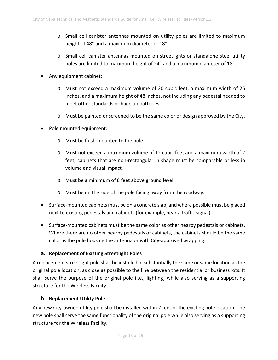- o Small cell canister antennas mounted on utility poles are limited to maximum height of 48" and a maximum diameter of 18".
- o Small cell canister antennas mounted on streetlights or standalone steel utility poles are limited to maximum height of 24" and a maximum diameter of 18".
- Any equipment cabinet:
	- o Must not exceed a maximum volume of 20 cubic feet, a maximum width of 26 inches, and a maximum height of 48 inches, not including any pedestal needed to meet other standards or back‐up batteries.
	- $\circ$  Must be painted or screened to be the same color or design approved by the City.
- Pole mounted equipment:
	- o Must be flush‐mounted to the pole.
	- o Must not exceed a maximum volume of 12 cubic feet and a maximum width of 2 feet; cabinets that are non-rectangular in shape must be comparable or less in volume and visual impact.
	- o Must be a minimum of 8 feet above ground level.
	- o Must be on the side of the pole facing away from the roadway.
- Surface-mounted cabinets must be on a concrete slab, and where possible must be placed next to existing pedestals and cabinets (for example, near a traffic signal).
- Surface-mounted cabinets must be the same color as other nearby pedestals or cabinets. Where there are no other nearby pedestals or cabinets, the cabinets should be the same color as the pole housing the antenna or with City‐approved wrapping.

#### **a. Replacement of Existing Streetlight Poles**

A replacement streetlight pole shall be installed in substantially the same or same location as the original pole location, as close as possible to the line between the residential or business lots. It shall serve the purpose of the original pole (i.e., lighting) while also serving as a supporting structure for the Wireless Facility.

#### **b. Replacement Utility Pole**

Any new City‐owned utility pole shall be installed within 2 feet of the existing pole location. The new pole shall serve the same functionality of the original pole while also serving as a supporting structure for the Wireless Facility.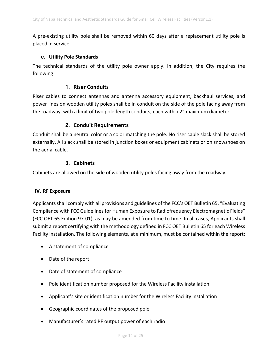A pre‐existing utility pole shall be removed within 60 days after a replacement utility pole is placed in service.

# **c. Utility Pole Standards**

The technical standards of the utility pole owner apply. In addition, the City requires the following:

# **1. Riser Conduits**

Riser cables to connect antennas and antenna accessory equipment, backhaul services, and power lines on wooden utility poles shall be in conduit on the side of the pole facing away from the roadway, with a limit of two pole‐length conduits, each with a 2" maximum diameter.

# **2. Conduit Requirements**

Conduit shall be a neutral color or a color matching the pole. No riser cable slack shall be stored externally. All slack shall be stored in junction boxes or equipment cabinets or on snowshoes on the aerial cable.

# **3. Cabinets**

Cabinets are allowed on the side of wooden utility poles facing away from the roadway.

#### **IV. RF Exposure**

Applicants shall comply with all provisions and guidelines of the FCC's OET Bulletin 65, "Evaluating Compliance with FCC Guidelines for Human Exposure to Radiofrequency Electromagnetic Fields" (FCC OET 65 Edition 97‐01), as may be amended from time to time. In all cases, Applicants shall submit a report certifying with the methodology defined in FCC OET Bulletin 65 for each Wireless Facility installation. The following elements, at a minimum, must be contained within the report:

- A statement of compliance
- Date of the report
- Date of statement of compliance
- Pole identification number proposed for the Wireless Facility installation
- Applicant's site or identification number for the Wireless Facility installation
- Geographic coordinates of the proposed pole
- Manufacturer's rated RF output power of each radio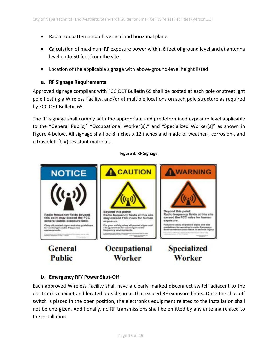- Radiation pattern in both vertical and horizonal plane
- Calculation of maximum RF exposure power within 6 feet of ground level and at antenna level up to 50 feet from the site.
- Location of the applicable signage with above‐ground‐level height listed

#### **a. RF Signage Requirements**

Approved signage compliant with FCC OET Bulletin 65 shall be posted at each pole or streetlight pole hosting a Wireless Facility, and/or at multiple locations on such pole structure as required by FCC OET Bulletin 65.

The RF signage shall comply with the appropriate and predetermined exposure level applicable to the "General Public," "Occupational Worker[s]," and "Specialized Worker[s]" as shown in Figure 4 below. All signage shall be 8 inches x 12 inches and made of weather‐, corrosion‐, and ultraviolet‐ (UV) resistant materials.

#### WARNING **A** CAUTION **NOTICE** Beyond this point:<br>Radio frequency fields at this site<br>may exceed FCC rules for human Beyond this point: Radio frequency fields at this site<br>exceed the FCC rules for human Radio frequency fields beyond this point may exceed the FCC<br>general public exposure limit. exposure. exposure. **Failure to obey all posted signs and site**<br>guidelines for working in radio frequenc<br>environments could result in serious inj For your safety, obey all posted signs a<br>site guidelines for working in radio<br>frequency environments. ey all posted signs and site guideli<br>working in radio frequency **Specialized General** Occupational Worker **Public Worker**

#### **Figure 3: RF Signage**

#### **b. Emergency RF/ Power Shut‐Off**

Each approved Wireless Facility shall have a clearly marked disconnect switch adjacent to the electronics cabinet and located outside areas that exceed RF exposure limits. Once the shut‐off switch is placed in the open position, the electronics equipment related to the installation shall not be energized. Additionally, no RF transmissions shall be emitted by any antenna related to the installation.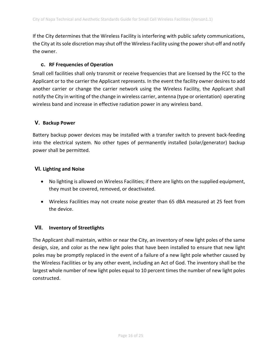If the City determines that the Wireless Facility is interfering with public safety communications, the City at its sole discretion may shut off the Wireless Facility using the power shut‐off and notify the owner.

# **c. RF Frequencies of Operation**

Small cell facilities shall only transmit or receive frequencies that are licensed by the FCC to the Applicant or to the carrier the Applicant represents. In the event the facility owner desires to add another carrier or change the carrier network using the Wireless Facility, the Applicant shall notify the City in writing of the change in wireless carrier, antenna (type or orientation) operating wireless band and increase in effective radiation power in any wireless band.

# **V. Backup Power**

Battery backup power devices may be installed with a transfer switch to prevent back‐feeding into the electrical system. No other types of permanently installed (solar/generator) backup power shall be permitted.

# **VI. Lighting and Noise**

- No lighting is allowed on Wireless Facilities; if there are lights on the supplied equipment, they must be covered, removed, or deactivated.
- Wireless Facilities may not create noise greater than 65 dBA measured at 25 feet from the device.

# **VII. Inventory of Streetlights**

The Applicant shall maintain, within or near the City, an inventory of new light poles of the same design, size, and color as the new light poles that have been installed to ensure that new light poles may be promptly replaced in the event of a failure of a new light pole whether caused by the Wireless Facilities or by any other event, including an Act of God. The inventory shall be the largest whole number of new light poles equal to 10 percent times the number of new light poles constructed.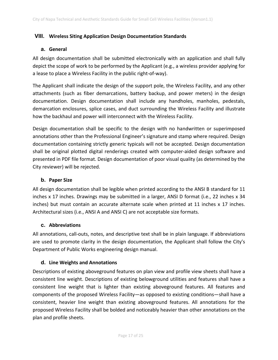# **VIII. Wireless Siting Application Design Documentation Standards**

### **a. General**

All design documentation shall be submitted electronically with an application and shall fully depict the scope of work to be performed by the Applicant (e.g., a wireless provider applying for a lease to place a Wireless Facility in the public right‐of‐way).

The Applicant shall indicate the design of the support pole, the Wireless Facility, and any other attachments (such as fiber demarcations, battery backup, and power meters) in the design documentation. Design documentation shall include any handholes, manholes, pedestals, demarcation enclosures, splice cases, and duct surrounding the Wireless Facility and illustrate how the backhaul and power will interconnect with the Wireless Facility.

Design documentation shall be specific to the design with no handwritten or superimposed annotations other than the Professional Engineer's signature and stamp where required. Design documentation containing strictly generic typicals will not be accepted. Design documentation shall be original plotted digital renderings created with computer‐aided design software and presented in PDF file format. Design documentation of poor visual quality (as determined by the City reviewer) will be rejected.

# **b. Paper Size**

All design documentation shall be legible when printed according to the ANSI B standard for 11 inches x 17 inches. Drawings may be submitted in a larger, ANSI D format (i.e., 22 inches x 34 inches) but must contain an accurate alternate scale when printed at 11 inches x 17 inches. Architectural sizes (i.e., ANSI A and ANSI C) are not acceptable size formats.

#### **c. Abbreviations**

All annotations, call‐outs, notes, and descriptive text shall be in plain language. If abbreviations are used to promote clarity in the design documentation, the Applicant shall follow the City's Department of Public Works engineering design manual.

#### **d. Line Weights and Annotations**

Descriptions of existing aboveground features on plan view and profile view sheets shall have a consistent line weight. Descriptions of existing belowground utilities and features shall have a consistent line weight that is lighter than existing aboveground features. All features and components of the proposed Wireless Facility—as opposed to existing conditions—shall have a consistent, heavier line weight than existing aboveground features. All annotations for the proposed Wireless Facility shall be bolded and noticeably heavier than other annotations on the plan and profile sheets.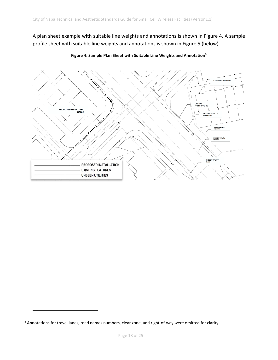A plan sheet example with suitable line weights and annotations is shown in Figure 4. A sample profile sheet with suitable line weights and annotations is shown in Figure 5 (below).



**Figure 4: Sample Plan Sheet with Suitable Line Weights and Annotation3**

<sup>&</sup>lt;sup>3</sup> Annotations for travel lanes, road names numbers, clear zone, and right-of-way were omitted for clarity.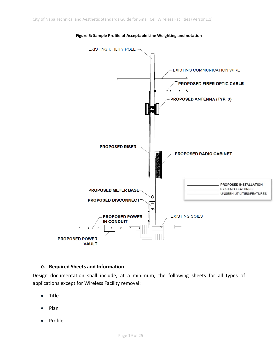

#### **Figure 5: Sample Profile of Acceptable Line Weighting and notation**

#### **e. Required Sheets and Information**

Design documentation shall include, at a minimum, the following sheets for all types of applications except for Wireless Facility removal:

- Title
- Plan
- Profile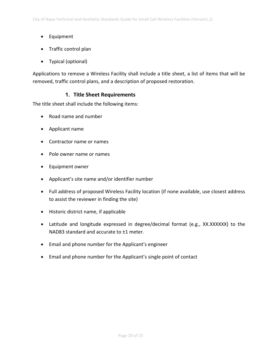- Equipment
- Traffic control plan
- Typical (optional)

Applications to remove a Wireless Facility shall include a title sheet, a list of items that will be removed, traffic control plans, and a description of proposed restoration.

# **1. Title Sheet Requirements**

The title sheet shall include the following items:

- Road name and number
- Applicant name
- Contractor name or names
- Pole owner name or names
- Equipment owner
- Applicant's site name and/or identifier number
- Full address of proposed Wireless Facility location (if none available, use closest address to assist the reviewer in finding the site)
- Historic district name, if applicable
- Latitude and longitude expressed in degree/decimal format (e.g., XX.XXXXXX) to the NAD83 standard and accurate to ±1 meter.
- Email and phone number for the Applicant's engineer
- Email and phone number for the Applicant's single point of contact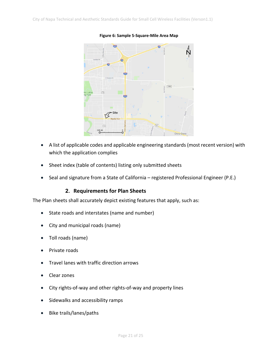

#### **Figure 6: Sample 5‐Square‐Mile Area Map**

- A list of applicable codes and applicable engineering standards (most recent version) with which the application complies
- Sheet index (table of contents) listing only submitted sheets
- Seal and signature from a State of California registered Professional Engineer (P.E.)

# **2. Requirements for Plan Sheets**

The Plan sheets shall accurately depict existing features that apply, such as:

- State roads and interstates (name and number)
- City and municipal roads (name)
- Toll roads (name)
- Private roads
- Travel lanes with traffic direction arrows
- Clear zones
- City rights-of-way and other rights-of-way and property lines
- Sidewalks and accessibility ramps
- Bike trails/lanes/paths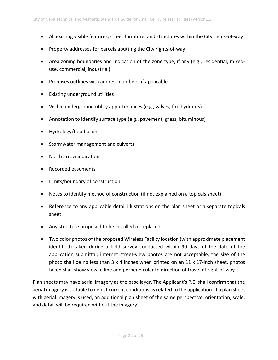- All existing visible features, street furniture, and structures within the City rights-of-way
- Property addresses for parcels abutting the City rights-of-way
- Area zoning boundaries and indication of the zone type, if any (e.g., residential, mixeduse, commercial, industrial)
- Premises outlines with address numbers, if applicable
- Existing underground utilities
- Visible underground utility appurtenances (e.g., valves, fire hydrants)
- Annotation to identify surface type (e.g., pavement, grass, bituminous)
- Hydrology/flood plains
- Stormwater management and culverts
- North arrow indication
- Recorded easements
- Limits/boundary of construction
- Notes to identify method of construction (if not explained on a topicals sheet)
- Reference to any applicable detail illustrations on the plan sheet or a separate topicals sheet
- Any structure proposed to be installed or replaced
- Two color photos of the proposed Wireless Facility location (with approximate placement identified) taken during a field survey conducted within 90 days of the date of the application submittal; internet street‐view photos are not acceptable, the size of the photo shall be no less than 3 x 4 inches when printed on an 11 x 17‐inch sheet, photos taken shall show view in line and perpendicular to direction of travel of right‐of‐way

Plan sheets may have aerial imagery as the base layer. The Applicant's P.E. shall confirm that the aerial imagery is suitable to depict current conditions as related to the application. If a plan sheet with aerial imagery is used, an additional plan sheet of the same perspective, orientation, scale, and detail will be required without the imagery.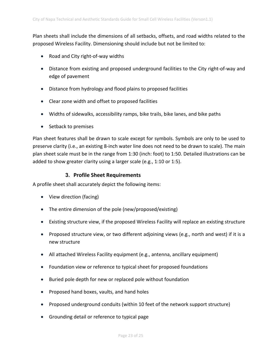Plan sheets shall include the dimensions of all setbacks, offsets, and road widths related to the proposed Wireless Facility. Dimensioning should include but not be limited to:

- Road and City right-of-way widths
- Distance from existing and proposed underground facilities to the City right‐of‐way and edge of pavement
- Distance from hydrology and flood plains to proposed facilities
- Clear zone width and offset to proposed facilities
- Widths of sidewalks, accessibility ramps, bike trails, bike lanes, and bike paths
- Setback to premises

Plan sheet features shall be drawn to scale except for symbols. Symbols are only to be used to preserve clarity (i.e., an existing 8‐inch water line does not need to be drawn to scale). The main plan sheet scale must be in the range from 1:30 (inch: foot) to 1:50. Detailed illustrations can be added to show greater clarity using a larger scale (e.g., 1:10 or 1:5).

#### **3. Profile Sheet Requirements**

A profile sheet shall accurately depict the following items:

- View direction (facing)
- The entire dimension of the pole (new/proposed/existing)
- Existing structure view, if the proposed Wireless Facility will replace an existing structure
- Proposed structure view, or two different adjoining views (e.g., north and west) if it is a new structure
- All attached Wireless Facility equipment (e.g., antenna, ancillary equipment)
- Foundation view or reference to typical sheet for proposed foundations
- Buried pole depth for new or replaced pole without foundation
- Proposed hand boxes, vaults, and hand holes
- Proposed underground conduits (within 10 feet of the network support structure)
- Grounding detail or reference to typical page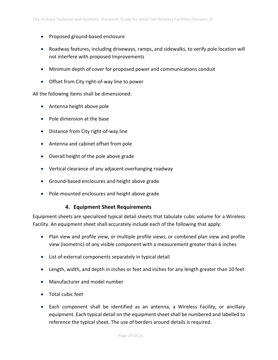- Proposed ground-based enclosure
- Roadway features, including driveways, ramps, and sidewalks, to verify pole location will not interfere with proposed Improvements
- Minimum depth of cover for proposed power and communications conduit
- Offset from City right-of-way line to power

All the following items shall be dimensioned:

- Antenna height above pole
- Pole dimension at the base
- Distance from City right-of-way line
- Antenna and cabinet offset from pole
- Overall height of the pole above grade
- Vertical clearance of any adjacent overhanging roadway
- Ground-based enclosures and height above grade
- Pole-mounted enclosures and height above grade

#### **4. Equipment Sheet Requirements**

Equipment sheets are specialized typical detail sheets that tabulate cubic volume for a Wireless Facility. An equipment sheet shall accurately include each of the following that apply:

- Plan view and profile view, or multiple profile views, or combined plan view and profile view (isometric) of any visible component with a measurement greater than 6 inches
- List of external components separately in typical detail
- Length, width, and depth in inches or feet and inches for any length greater than 10 feet
- Manufacturer and model number
- Total cubic feet
- Each component shall be identified as an antenna, a Wireless Facility, or ancillary equipment. Each typical detail on the equipment sheet shall be numbered and labelled to reference the typical sheet. The use of borders around details is required.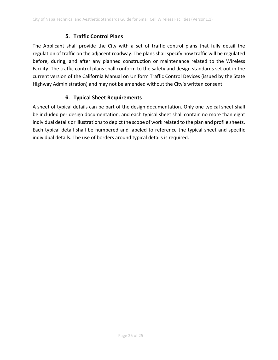# **5. Traffic Control Plans**

The Applicant shall provide the City with a set of traffic control plans that fully detail the regulation of traffic on the adjacent roadway. The plans shall specify how traffic will be regulated before, during, and after any planned construction or maintenance related to the Wireless Facility. The traffic control plans shall conform to the safety and design standards set out in the current version of the California Manual on Uniform Traffic Control Devices (issued by the State Highway Administration) and may not be amended without the City's written consent.

# **6. Typical Sheet Requirements**

A sheet of typical details can be part of the design documentation. Only one typical sheet shall be included per design documentation, and each typical sheet shall contain no more than eight individual details or illustrations to depict the scope of work related to the plan and profile sheets. Each typical detail shall be numbered and labeled to reference the typical sheet and specific individual details. The use of borders around typical details is required.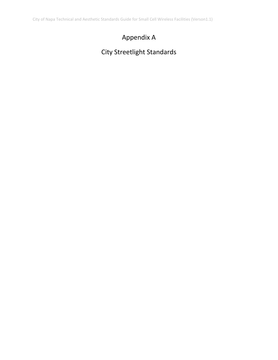City of Napa Technical and Aesthetic Standards Guide for Small Cell Wireless Facilities (Verson1.1)

# Appendix A

# City Streetlight Standards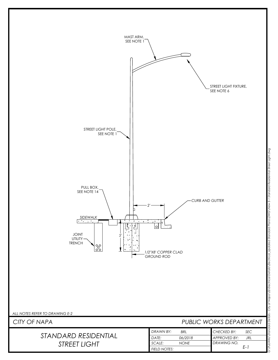

New E-1 Standard Residential Street Light.dwg *G:\PubWrks\Standard Details - City of Napa\02-Electrical Details\Electrical\_Updated Standard Plans\DWG\New E-1 Standard Residential Street Light.dwg* cal\_Updated Standard Plans \DV City of Napa\02-Electrical De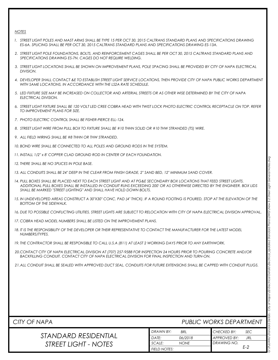#### *NOTES*

- *1. STREET LIGHT POLES AND MAST ARMS SHALL BE TYPE 15 PER OCT 30, 2015 CALTRANS STANDARD PLANS AND SPECIFICATIONS DRAWING ES-6A. SPLICING SHALL BE PER OCT 30, 2015 CALTRANS STANDARD PLANS AND SPECIFICATIONS DRAWING ES-13A.*
- *2. STREET LIGHT POLE FOUNDATIONS, BOLTS, AND REINFORCEMENT CAGES SHALL BE PER OCT 30, 2015 CALTRANS STANDARD PLANS AND SPECIFICATIONS DRAWING ES-7N. CAGES DO NOT REQUIRE WELDING.*
- *3. STREET LIGHT LOCATIONS SHALL BE SHOWN ON IMPROVEMENT PLANS, POLE SPACING SHALL BE PROVIDED BY CITY OF NAPA ELECTRICAL DIVISION.*
- *4. DEVELOPER SHALL CONTACT &E TO ESTABLISH STREET LIGHT SERVICE LOCATIONS, THEN PROVIDE CITY OF NAPA PUBLIC WORKS DEPARTMENT WITH SAME LOCATIONS, IN ACCORDANCE WITH THE LS2A RATE SCHEDULE.*
- *5. LED FIXTURE SIZE MAY BE INCREASED ON COLLECTOR AND ARTERIAL STREETS OR AS OTHER WISE DETERMINED BY THE CITY OF NAPA ELECTRICAL DIVISION.*
- *6. STREET LIGHT FIXTURE SHALL BE 120 VOLT LED CREE COBRA HEAD WITH TWIST LOCK PHOTO ELECTRIC CONTROL RECEPTACLE ON TOP. REFER TO IMPROVEMENT PLANS FOR SIZE.*
- *7. PHOTO ELECTRIC CONTROL SHALL BE FISHER-PIERCE ELL-124.*
- *8. STREET LIGHT WIRE FROM PULL BOX TO FIXTURE SHALL BE #10 THHN SOLID OR #10 THW STRANDED (TS) WIRE.*
- *9. ALL FIELD WIRING SHALL BE #8 THHN OR THW STRANDED.*
- *10. BOND WIRE SHALL BE CONNECTED TO ALL POLES AND GROUND RODS IN THE SYSTEM.*
- *11. INSTALL 1/2" x 8' COPPER CLAD GROUND ROD IN CENTER OF EACH FOUNDATION.*
- *12. THERE SHALL BE NO SPLICES IN POLE BASE.*
- *13. ALL CONDUITS SHALL BE 24" DEEP IN THE CLEAR FROM FINISH GRADE, 2" SAND BED, 12" MINIMUM SAND COVER.*
- *14. PULL BOXES SHALL BE PLACED NEXT TO EACH STREET LIGHT AND AT PG&E SECONDARY BOX LOCATIONS THAT FEED STREET LIGHTS. ADDITIONAL PULL BOXES SHALL BE INSTALLED IN CONDUIT RUNS EXCEEDING 200' OR AS OTHERWISE DIRECTED BY THE ENGINEER. BOX LIDS SHALL BE MARKED "STREET LIGHTING" AND SHALL HAVE HOLD DOWN BOLTS.*
- *15. IN UNDEVELOPED AREAS CONSTRUCT A 30"X30" CONC. PAD (4" THICK). IF A ROUND FOOTING IS POURED, STOP AT THE ELEVATION OF THE BOTTOM OF THE SIDEWALK.*
- *16. DUE TO POSSIBLE CONFLICTING UTILITIES, STREET LIGHTS ARE SUBJECT TO RELOCATION WITH CITY OF NAPA ELECTRICAL DIVISION APPROVAL.*
- *17. COBRA HEAD MODEL NUMBERS SHALL BE LISTED ON THE IMPROVEMENT PLANS.*
- *18. IT IS THE RESPONSIBILITY OF THE DEVELOPER OR THEIR REPRESENTATIVE TO CONTACT THE MANUFACTURER FOR THE LATEST MODEL NUMBERS/TYPES.*
- *19. THE CONTRACTOR SHALL BE RESPONSIBLE TO CALL U.S.A (811) AT LEAST 2 WORKING DAYS PRIOR TO ANY EARTHWORK.*
- *20.CONTACT CITY OF NAPA ELECTRICAL DIVISION AT (707) 257-9588 FOR INSPECTION 24 HOURS PRIOR TO POURING CONCRETE AND/OR BACKFILLING CONDUIT. CONTACT CITY OF NAPA ELECTRICAL DIVISION FOR FINAL INSPECTION AND TURN-ON.*
- *21.ALL CONDUIT SHALL BE SEALED WITH APPROVED DUCT SEAL. CONDUITS FOR FUTURE EXTENSIONS SHALL BE CAPPED WITH CONDUIT PLUGS.*

| PUBLIC WORKS DEPARTMENT<br>CITY OF NAPA |                     |             |                    |            |  |
|-----------------------------------------|---------------------|-------------|--------------------|------------|--|
|                                         | DRAWN BY:           | <b>BRL</b>  | <b>CHECKED BY:</b> | <b>SEC</b> |  |
| STANDARD RESIDENTIAL                    | DATE:               | 06/2018     | APPROVED BY:       | JRL        |  |
| STREET LIGHT - NOTES                    | SCALE:              | <b>NONE</b> | DRAWING NO.        |            |  |
|                                         | <b>FIELD NOTES:</b> |             |                    | E-2        |  |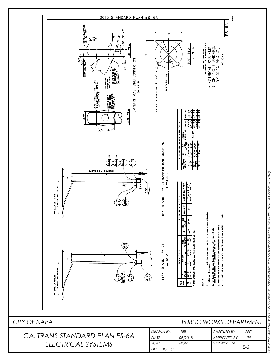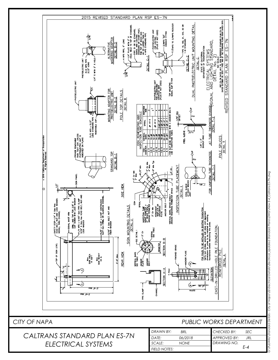